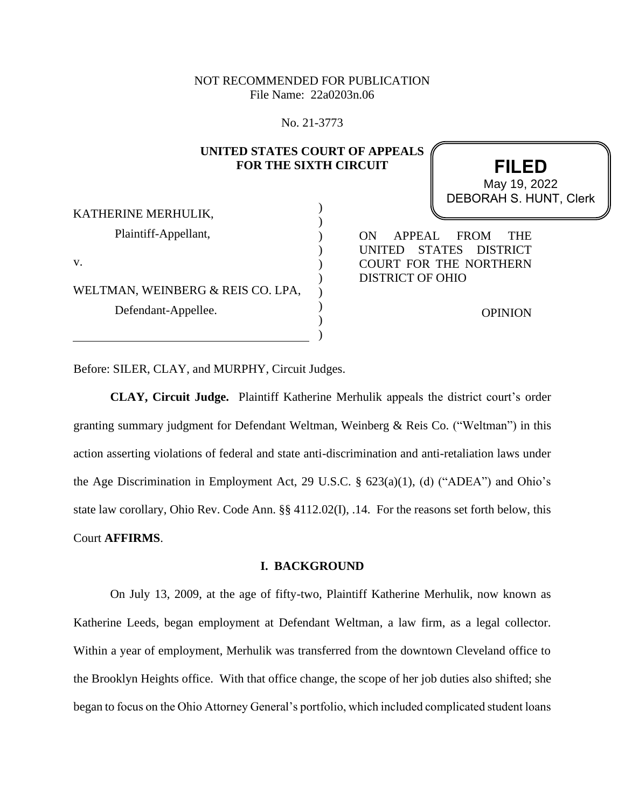NOT RECOMMENDED FOR PUBLICATION File Name: 22a0203n.06

No. 21-3773

## **UNITED STATES COURT OF APPEALS FOR THE SIXTH CIRCUIT**

 ) ) ) ) ) ) ) ) ) )

**FILED** DEBORAH S. HUNT, Clerk May 19, 2022

KATHERINE MERHULIK, Plaintiff-Appellant, v.

WELTMAN, WEINBERG & REIS CO. LPA, Defendant-Appellee.

ON APPEAL FROM THE UNITED STATES DISTRICT COURT FOR THE NORTHERN DISTRICT OF OHIO

OPINION

Before: SILER, CLAY, and MURPHY, Circuit Judges.

**CLAY, Circuit Judge.** Plaintiff Katherine Merhulik appeals the district court's order granting summary judgment for Defendant Weltman, Weinberg & Reis Co. ("Weltman") in this action asserting violations of federal and state anti-discrimination and anti-retaliation laws under the Age Discrimination in Employment Act, 29 U.S.C. § 623(a)(1), (d) ("ADEA") and Ohio's state law corollary, Ohio Rev. Code Ann. §§ 4112.02(I), .14. For the reasons set forth below, this Court **AFFIRMS**.

## **I. BACKGROUND**

On July 13, 2009, at the age of fifty-two, Plaintiff Katherine Merhulik, now known as Katherine Leeds, began employment at Defendant Weltman, a law firm, as a legal collector. Within a year of employment, Merhulik was transferred from the downtown Cleveland office to the Brooklyn Heights office. With that office change, the scope of her job duties also shifted; she began to focus on the Ohio Attorney General's portfolio, which included complicated student loans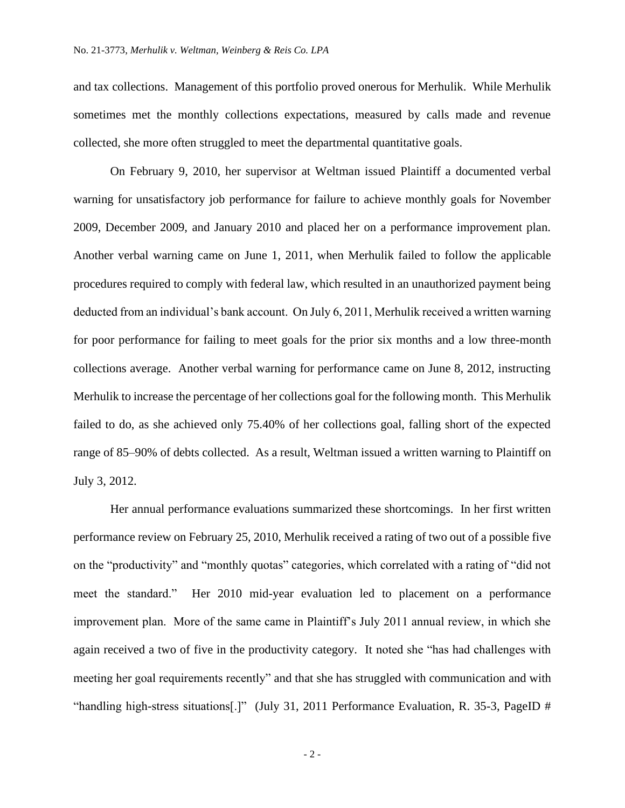and tax collections. Management of this portfolio proved onerous for Merhulik. While Merhulik sometimes met the monthly collections expectations, measured by calls made and revenue collected, she more often struggled to meet the departmental quantitative goals.

On February 9, 2010, her supervisor at Weltman issued Plaintiff a documented verbal warning for unsatisfactory job performance for failure to achieve monthly goals for November 2009, December 2009, and January 2010 and placed her on a performance improvement plan. Another verbal warning came on June 1, 2011, when Merhulik failed to follow the applicable procedures required to comply with federal law, which resulted in an unauthorized payment being deducted from an individual's bank account. On July 6, 2011, Merhulik received a written warning for poor performance for failing to meet goals for the prior six months and a low three-month collections average. Another verbal warning for performance came on June 8, 2012, instructing Merhulik to increase the percentage of her collections goal for the following month. This Merhulik failed to do, as she achieved only 75.40% of her collections goal, falling short of the expected range of 85–90% of debts collected. As a result, Weltman issued a written warning to Plaintiff on July 3, 2012.

Her annual performance evaluations summarized these shortcomings. In her first written performance review on February 25, 2010, Merhulik received a rating of two out of a possible five on the "productivity" and "monthly quotas" categories, which correlated with a rating of "did not meet the standard." Her 2010 mid-year evaluation led to placement on a performance improvement plan. More of the same came in Plaintiff's July 2011 annual review, in which she again received a two of five in the productivity category. It noted she "has had challenges with meeting her goal requirements recently" and that she has struggled with communication and with "handling high-stress situations[.]" (July 31, 2011 Performance Evaluation, R. 35-3, PageID #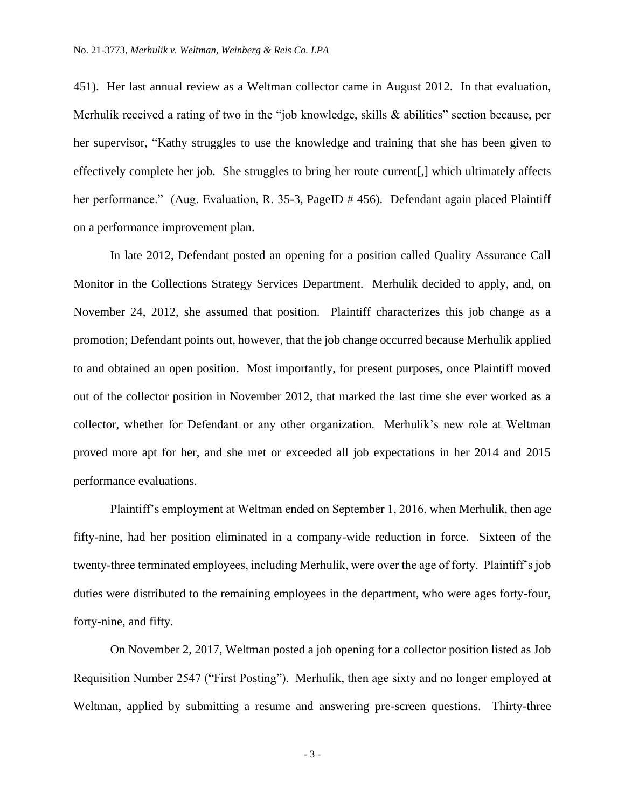451). Her last annual review as a Weltman collector came in August 2012. In that evaluation, Merhulik received a rating of two in the "job knowledge, skills & abilities" section because, per her supervisor, "Kathy struggles to use the knowledge and training that she has been given to effectively complete her job. She struggles to bring her route current[,] which ultimately affects her performance." (Aug. Evaluation, R. 35-3, PageID # 456). Defendant again placed Plaintiff on a performance improvement plan.

In late 2012, Defendant posted an opening for a position called Quality Assurance Call Monitor in the Collections Strategy Services Department. Merhulik decided to apply, and, on November 24, 2012, she assumed that position. Plaintiff characterizes this job change as a promotion; Defendant points out, however, that the job change occurred because Merhulik applied to and obtained an open position. Most importantly, for present purposes, once Plaintiff moved out of the collector position in November 2012, that marked the last time she ever worked as a collector, whether for Defendant or any other organization. Merhulik's new role at Weltman proved more apt for her, and she met or exceeded all job expectations in her 2014 and 2015 performance evaluations.

Plaintiff's employment at Weltman ended on September 1, 2016, when Merhulik, then age fifty-nine, had her position eliminated in a company-wide reduction in force. Sixteen of the twenty-three terminated employees, including Merhulik, were over the age of forty. Plaintiff's job duties were distributed to the remaining employees in the department, who were ages forty-four, forty-nine, and fifty.

On November 2, 2017, Weltman posted a job opening for a collector position listed as Job Requisition Number 2547 ("First Posting"). Merhulik, then age sixty and no longer employed at Weltman, applied by submitting a resume and answering pre-screen questions. Thirty-three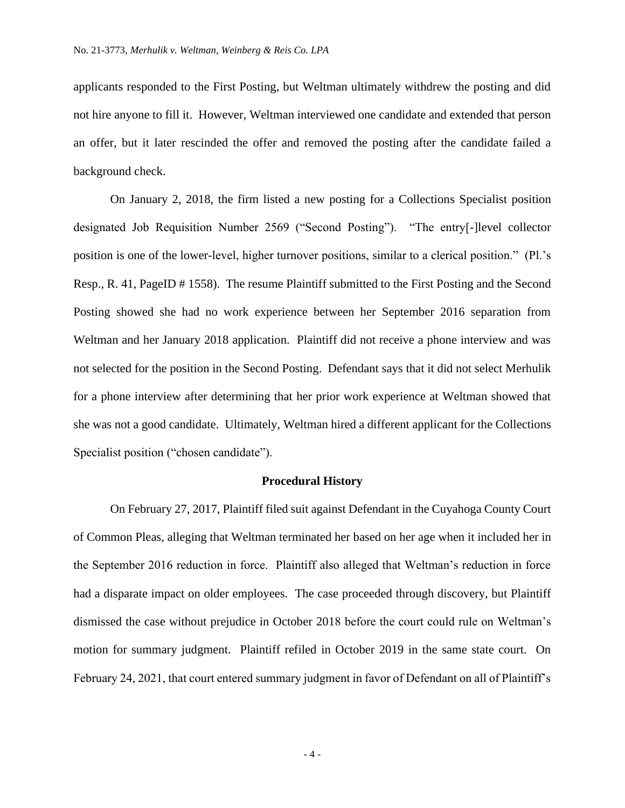applicants responded to the First Posting, but Weltman ultimately withdrew the posting and did not hire anyone to fill it. However, Weltman interviewed one candidate and extended that person an offer, but it later rescinded the offer and removed the posting after the candidate failed a background check.

On January 2, 2018, the firm listed a new posting for a Collections Specialist position designated Job Requisition Number 2569 ("Second Posting"). "The entry[-]level collector position is one of the lower-level, higher turnover positions, similar to a clerical position." (Pl.'s Resp., R. 41, PageID # 1558). The resume Plaintiff submitted to the First Posting and the Second Posting showed she had no work experience between her September 2016 separation from Weltman and her January 2018 application. Plaintiff did not receive a phone interview and was not selected for the position in the Second Posting. Defendant says that it did not select Merhulik for a phone interview after determining that her prior work experience at Weltman showed that she was not a good candidate.Ultimately, Weltman hired a different applicant for the Collections Specialist position ("chosen candidate").

### **Procedural History**

On February 27, 2017, Plaintiff filed suit against Defendant in the Cuyahoga County Court of Common Pleas, alleging that Weltman terminated her based on her age when it included her in the September 2016 reduction in force. Plaintiff also alleged that Weltman's reduction in force had a disparate impact on older employees. The case proceeded through discovery, but Plaintiff dismissed the case without prejudice in October 2018 before the court could rule on Weltman's motion for summary judgment. Plaintiff refiled in October 2019 in the same state court. On February 24, 2021, that court entered summary judgment in favor of Defendant on all of Plaintiff's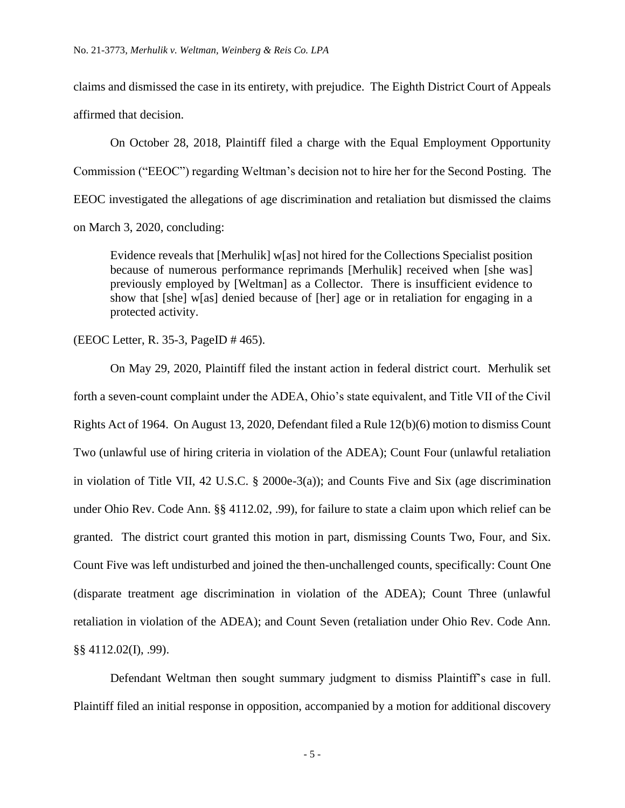claims and dismissed the case in its entirety, with prejudice. The Eighth District Court of Appeals affirmed that decision.

On October 28, 2018, Plaintiff filed a charge with the Equal Employment Opportunity Commission ("EEOC") regarding Weltman's decision not to hire her for the Second Posting. The EEOC investigated the allegations of age discrimination and retaliation but dismissed the claims on March 3, 2020, concluding:

Evidence reveals that [Merhulik] w[as] not hired for the Collections Specialist position because of numerous performance reprimands [Merhulik] received when [she was] previously employed by [Weltman] as a Collector. There is insufficient evidence to show that [she] w[as] denied because of [her] age or in retaliation for engaging in a protected activity.

(EEOC Letter, R. 35-3, PageID # 465).

On May 29, 2020, Plaintiff filed the instant action in federal district court. Merhulik set forth a seven-count complaint under the ADEA, Ohio's state equivalent, and Title VII of the Civil Rights Act of 1964. On August 13, 2020, Defendant filed a Rule 12(b)(6) motion to dismiss Count Two (unlawful use of hiring criteria in violation of the ADEA); Count Four (unlawful retaliation in violation of Title VII, 42 U.S.C. § 2000e-3(a)); and Counts Five and Six (age discrimination under Ohio Rev. Code Ann. §§ 4112.02, .99), for failure to state a claim upon which relief can be granted. The district court granted this motion in part, dismissing Counts Two, Four, and Six. Count Five was left undisturbed and joined the then-unchallenged counts, specifically: Count One (disparate treatment age discrimination in violation of the ADEA); Count Three (unlawful retaliation in violation of the ADEA); and Count Seven (retaliation under Ohio Rev. Code Ann. §§ 4112.02(I), .99).

Defendant Weltman then sought summary judgment to dismiss Plaintiff's case in full. Plaintiff filed an initial response in opposition, accompanied by a motion for additional discovery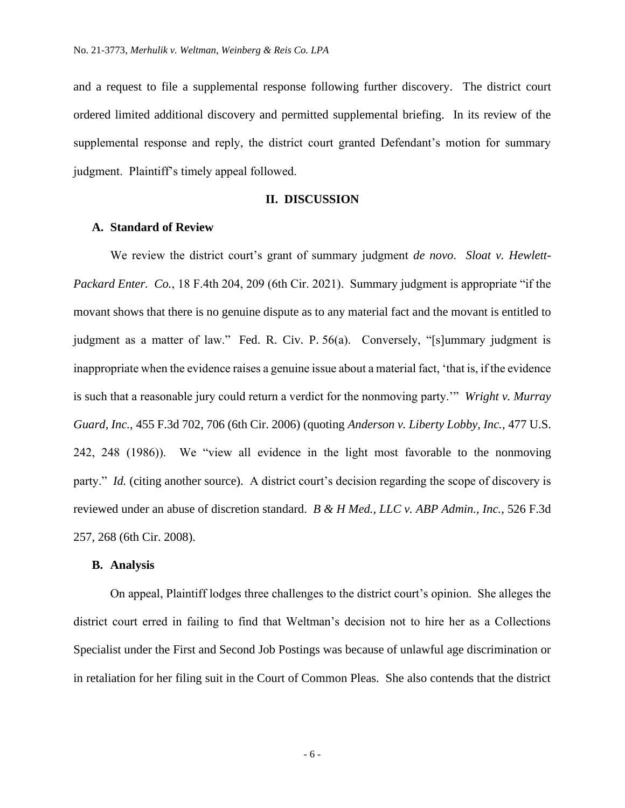and a request to file a supplemental response following further discovery. The district court ordered limited additional discovery and permitted supplemental briefing. In its review of the supplemental response and reply, the district court granted Defendant's motion for summary judgment. Plaintiff's timely appeal followed.

## **II. DISCUSSION**

## **A. Standard of Review**

We review the district court's grant of summary judgment *de novo*. *Sloat v. Hewlett-Packard Enter. Co.*, 18 F.4th 204, 209 (6th Cir. 2021). Summary judgment is appropriate "if the movant shows that there is no genuine dispute as to any material fact and the movant is entitled to judgment as a matter of law." Fed. R. Civ. P. 56(a). Conversely, "[s]ummary judgment is inappropriate when the evidence raises a genuine issue about a material fact, 'that is, if the evidence is such that a reasonable jury could return a verdict for the nonmoving party.'" *Wright v. Murray Guard, Inc.*, 455 F.3d 702, 706 (6th Cir. 2006) (quoting *Anderson v. Liberty Lobby, Inc.*, 477 U.S. 242, 248 (1986)). We "view all evidence in the light most favorable to the nonmoving party." *Id.* (citing another source). A district court's decision regarding the scope of discovery is reviewed under an abuse of discretion standard. *B & H Med., LLC v. ABP Admin., Inc.*, 526 F.3d 257, 268 (6th Cir. 2008).

#### **B. Analysis**

On appeal, Plaintiff lodges three challenges to the district court's opinion. She alleges the district court erred in failing to find that Weltman's decision not to hire her as a Collections Specialist under the First and Second Job Postings was because of unlawful age discrimination or in retaliation for her filing suit in the Court of Common Pleas. She also contends that the district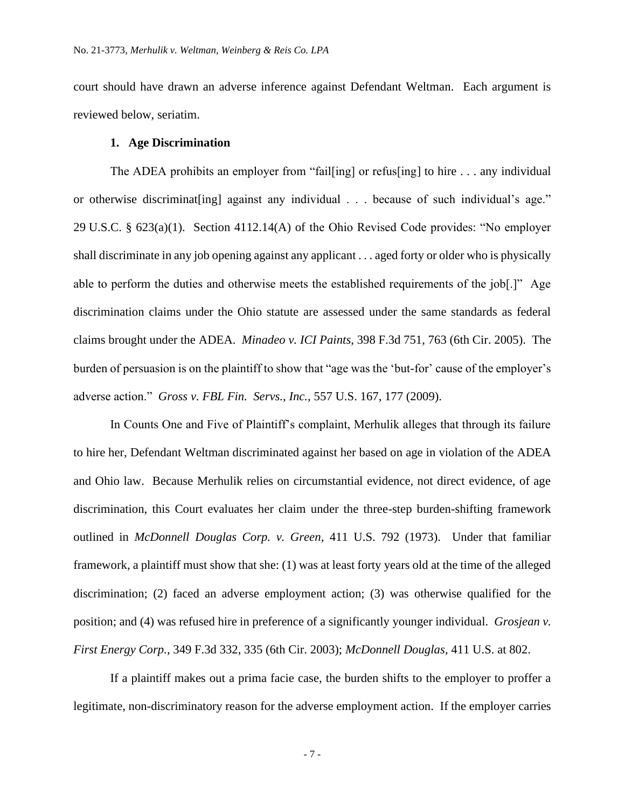court should have drawn an adverse inference against Defendant Weltman. Each argument is reviewed below, seriatim.

## **1. Age Discrimination**

The ADEA prohibits an employer from "fail[ing] or refus[ing] to hire . . . any individual or otherwise discriminat[ing] against any individual . . . because of such individual's age." 29 U.S.C. § 623(a)(1). Section 4112.14(A) of the Ohio Revised Code provides: "No employer shall discriminate in any job opening against any applicant . . . aged forty or older who is physically able to perform the duties and otherwise meets the established requirements of the job[.]" Age discrimination claims under the Ohio statute are assessed under the same standards as federal claims brought under the ADEA. *Minadeo v. ICI Paints*, 398 F.3d 751, 763 (6th Cir. 2005). The burden of persuasion is on the plaintiff to show that "age was the 'but-for' cause of the employer's adverse action." *Gross v. FBL Fin. Servs., Inc.*, 557 U.S. 167, 177 (2009).

In Counts One and Five of Plaintiff's complaint, Merhulik alleges that through its failure to hire her, Defendant Weltman discriminated against her based on age in violation of the ADEA and Ohio law. Because Merhulik relies on circumstantial evidence, not direct evidence, of age discrimination, this Court evaluates her claim under the three-step burden-shifting framework outlined in *McDonnell Douglas Corp. v. Green*, 411 U.S. 792 (1973). Under that familiar framework, a plaintiff must show that she: (1) was at least forty years old at the time of the alleged discrimination; (2) faced an adverse employment action; (3) was otherwise qualified for the position; and (4) was refused hire in preference of a significantly younger individual. *Grosjean v. First Energy Corp.*, 349 F.3d 332, 335 (6th Cir. 2003); *McDonnell Douglas*, 411 U.S. at 802.

If a plaintiff makes out a prima facie case, the burden shifts to the employer to proffer a legitimate, non-discriminatory reason for the adverse employment action. If the employer carries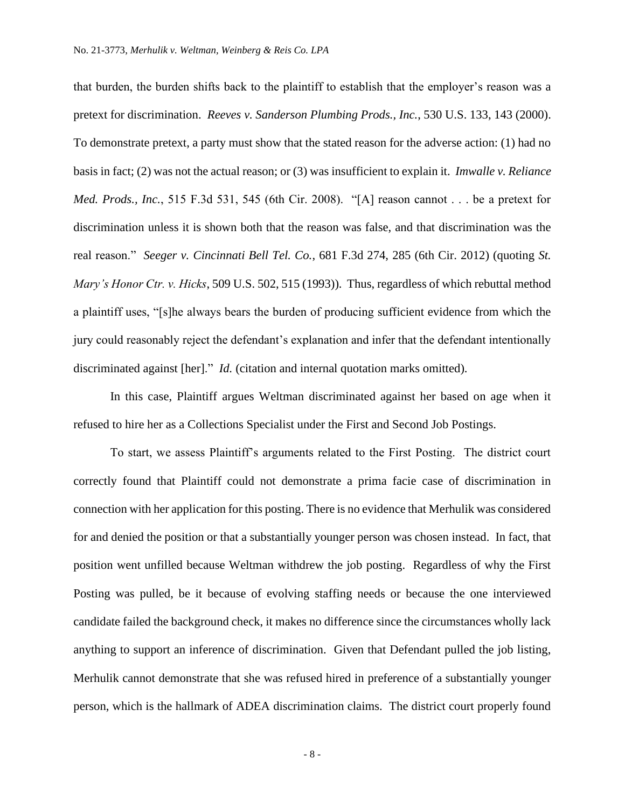that burden, the burden shifts back to the plaintiff to establish that the employer's reason was a pretext for discrimination. *Reeves v. Sanderson Plumbing Prods., Inc.*, 530 U.S. 133, 143 (2000). To demonstrate pretext, a party must show that the stated reason for the adverse action: (1) had no basis in fact; (2) was not the actual reason; or (3) was insufficient to explain it. *Imwalle v. Reliance Med. Prods., Inc.*, 515 F.3d 531, 545 (6th Cir. 2008). "[A] reason cannot . . . be a pretext for discrimination unless it is shown both that the reason was false, and that discrimination was the real reason." *Seeger v. Cincinnati Bell Tel. Co.*, 681 F.3d 274, 285 (6th Cir. 2012) (quoting *St. Mary's Honor Ctr. v. Hicks*, 509 U.S. 502, 515 (1993)). Thus, regardless of which rebuttal method a plaintiff uses, "[s]he always bears the burden of producing sufficient evidence from which the jury could reasonably reject the defendant's explanation and infer that the defendant intentionally discriminated against [her]." *Id.* (citation and internal quotation marks omitted).

In this case, Plaintiff argues Weltman discriminated against her based on age when it refused to hire her as a Collections Specialist under the First and Second Job Postings.

To start, we assess Plaintiff's arguments related to the First Posting. The district court correctly found that Plaintiff could not demonstrate a prima facie case of discrimination in connection with her application for this posting. There is no evidence that Merhulik was considered for and denied the position or that a substantially younger person was chosen instead. In fact, that position went unfilled because Weltman withdrew the job posting. Regardless of why the First Posting was pulled, be it because of evolving staffing needs or because the one interviewed candidate failed the background check, it makes no difference since the circumstances wholly lack anything to support an inference of discrimination. Given that Defendant pulled the job listing, Merhulik cannot demonstrate that she was refused hired in preference of a substantially younger person, which is the hallmark of ADEA discrimination claims. The district court properly found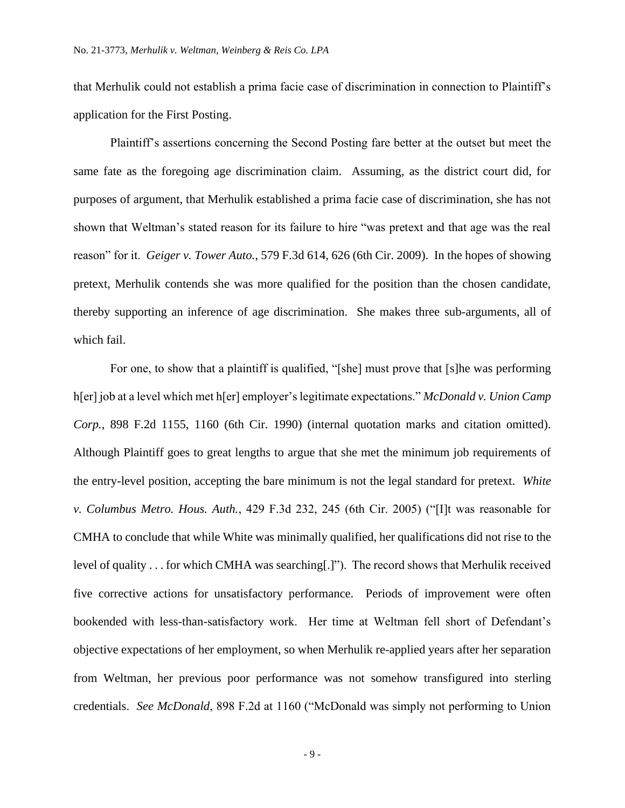that Merhulik could not establish a prima facie case of discrimination in connection to Plaintiff's application for the First Posting.

Plaintiff's assertions concerning the Second Posting fare better at the outset but meet the same fate as the foregoing age discrimination claim. Assuming, as the district court did, for purposes of argument, that Merhulik established a prima facie case of discrimination, she has not shown that Weltman's stated reason for its failure to hire "was pretext and that age was the real reason" for it. *Geiger v. Tower Auto.*, 579 F.3d 614, 626 (6th Cir. 2009). In the hopes of showing pretext, Merhulik contends she was more qualified for the position than the chosen candidate, thereby supporting an inference of age discrimination. She makes three sub-arguments, all of which fail.

For one, to show that a plaintiff is qualified, "[she] must prove that [s]he was performing h[er] job at a level which met h[er] employer's legitimate expectations." *McDonald v. Union Camp Corp.*, 898 F.2d 1155, 1160 (6th Cir. 1990) (internal quotation marks and citation omitted). Although Plaintiff goes to great lengths to argue that she met the minimum job requirements of the entry-level position, accepting the bare minimum is not the legal standard for pretext. *White v. Columbus Metro. Hous. Auth.*, 429 F.3d 232, 245 (6th Cir. 2005) ("[I]t was reasonable for CMHA to conclude that while White was minimally qualified, her qualifications did not rise to the level of quality . . . for which CMHA was searching[.]"). The record shows that Merhulik received five corrective actions for unsatisfactory performance. Periods of improvement were often bookended with less-than-satisfactory work. Her time at Weltman fell short of Defendant's objective expectations of her employment, so when Merhulik re-applied years after her separation from Weltman, her previous poor performance was not somehow transfigured into sterling credentials. *See McDonald*, 898 F.2d at 1160 ("McDonald was simply not performing to Union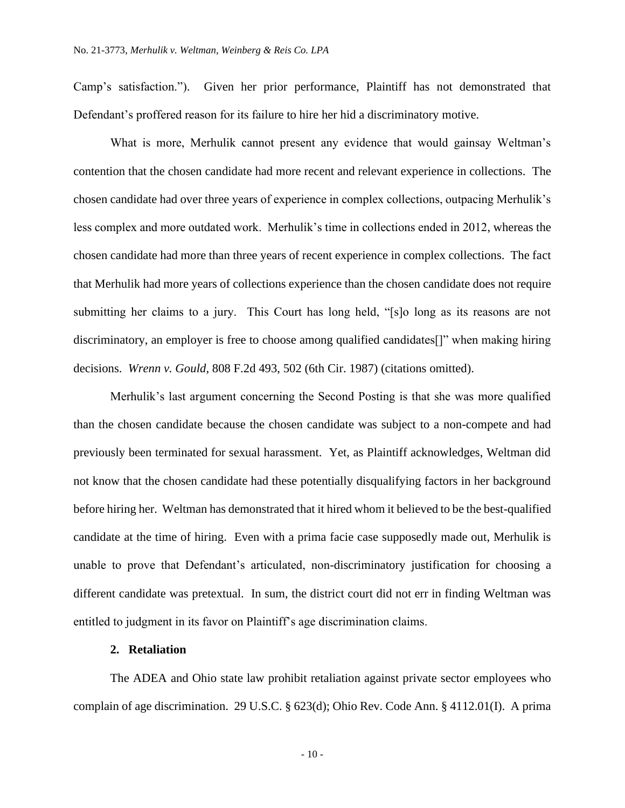Camp's satisfaction."). Given her prior performance, Plaintiff has not demonstrated that Defendant's proffered reason for its failure to hire her hid a discriminatory motive.

What is more, Merhulik cannot present any evidence that would gainsay Weltman's contention that the chosen candidate had more recent and relevant experience in collections. The chosen candidate had over three years of experience in complex collections, outpacing Merhulik's less complex and more outdated work. Merhulik's time in collections ended in 2012, whereas the chosen candidate had more than three years of recent experience in complex collections. The fact that Merhulik had more years of collections experience than the chosen candidate does not require submitting her claims to a jury. This Court has long held, "[s]o long as its reasons are not discriminatory, an employer is free to choose among qualified candidates[]" when making hiring decisions. *Wrenn v. Gould*, 808 F.2d 493, 502 (6th Cir. 1987) (citations omitted).

Merhulik's last argument concerning the Second Posting is that she was more qualified than the chosen candidate because the chosen candidate was subject to a non-compete and had previously been terminated for sexual harassment. Yet, as Plaintiff acknowledges, Weltman did not know that the chosen candidate had these potentially disqualifying factors in her background before hiring her. Weltman has demonstrated that it hired whom it believed to be the best-qualified candidate at the time of hiring. Even with a prima facie case supposedly made out, Merhulik is unable to prove that Defendant's articulated, non-discriminatory justification for choosing a different candidate was pretextual. In sum, the district court did not err in finding Weltman was entitled to judgment in its favor on Plaintiff's age discrimination claims.

## **2. Retaliation**

The ADEA and Ohio state law prohibit retaliation against private sector employees who complain of age discrimination. 29 U.S.C. § 623(d); Ohio Rev. Code Ann. § 4112.01(I). A prima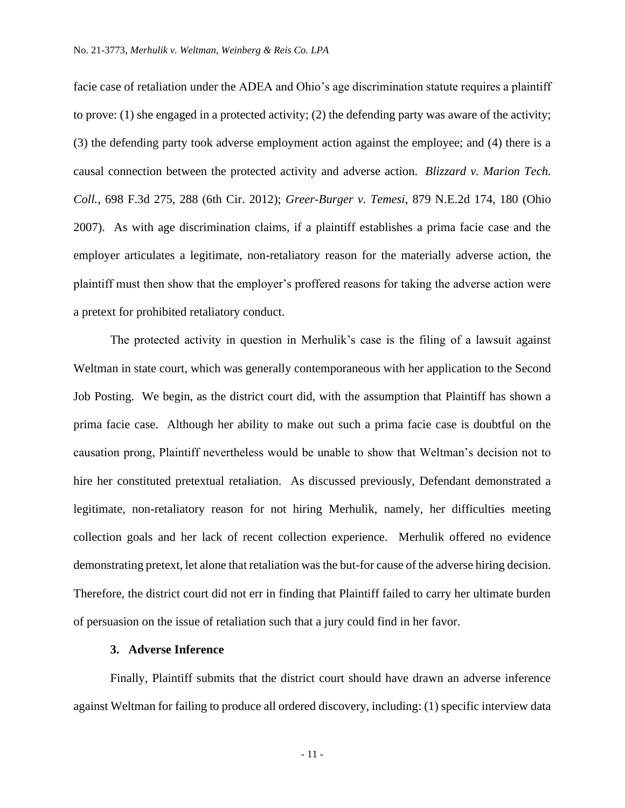facie case of retaliation under the ADEA and Ohio's age discrimination statute requires a plaintiff to prove: (1) she engaged in a protected activity; (2) the defending party was aware of the activity; (3) the defending party took adverse employment action against the employee; and (4) there is a causal connection between the protected activity and adverse action. *Blizzard v. Marion Tech. Coll.*, 698 F.3d 275, 288 (6th Cir. 2012); *Greer-Burger v. Temesi*, 879 N.E.2d 174, 180 (Ohio 2007). As with age discrimination claims, if a plaintiff establishes a prima facie case and the employer articulates a legitimate, non-retaliatory reason for the materially adverse action, the plaintiff must then show that the employer's proffered reasons for taking the adverse action were a pretext for prohibited retaliatory conduct.

The protected activity in question in Merhulik's case is the filing of a lawsuit against Weltman in state court, which was generally contemporaneous with her application to the Second Job Posting. We begin, as the district court did, with the assumption that Plaintiff has shown a prima facie case. Although her ability to make out such a prima facie case is doubtful on the causation prong, Plaintiff nevertheless would be unable to show that Weltman's decision not to hire her constituted pretextual retaliation. As discussed previously, Defendant demonstrated a legitimate, non-retaliatory reason for not hiring Merhulik, namely, her difficulties meeting collection goals and her lack of recent collection experience.Merhulik offered no evidence demonstrating pretext, let alone that retaliation was the but-for cause of the adverse hiring decision. Therefore, the district court did not err in finding that Plaintiff failed to carry her ultimate burden of persuasion on the issue of retaliation such that a jury could find in her favor.

## **3. Adverse Inference**

Finally, Plaintiff submits that the district court should have drawn an adverse inference against Weltman for failing to produce all ordered discovery, including: (1) specific interview data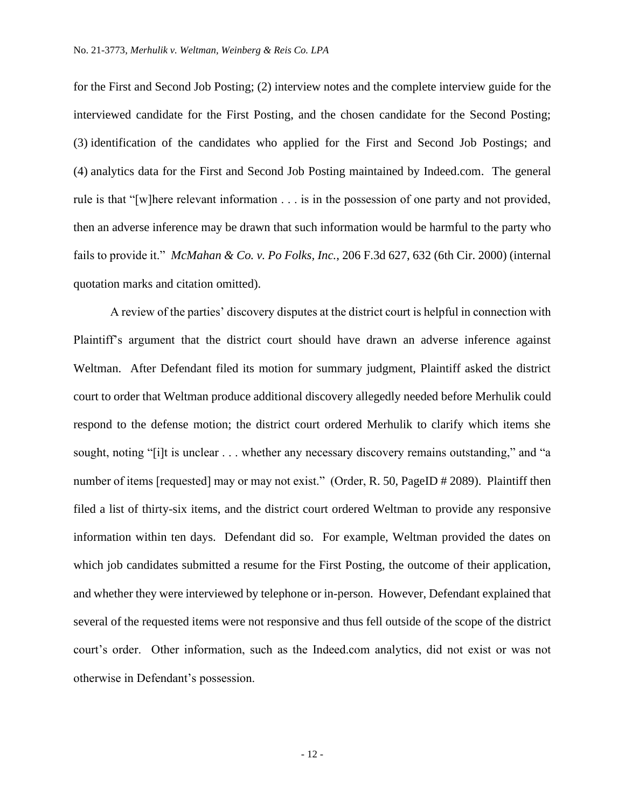for the First and Second Job Posting; (2) interview notes and the complete interview guide for the interviewed candidate for the First Posting, and the chosen candidate for the Second Posting; (3) identification of the candidates who applied for the First and Second Job Postings; and (4) analytics data for the First and Second Job Posting maintained by Indeed.com.The general rule is that "[w]here relevant information . . . is in the possession of one party and not provided, then an adverse inference may be drawn that such information would be harmful to the party who fails to provide it." *McMahan & Co. v. Po Folks, Inc.*, 206 F.3d 627, 632 (6th Cir. 2000) (internal quotation marks and citation omitted).

A review of the parties' discovery disputes at the district court is helpful in connection with Plaintiff's argument that the district court should have drawn an adverse inference against Weltman. After Defendant filed its motion for summary judgment, Plaintiff asked the district court to order that Weltman produce additional discovery allegedly needed before Merhulik could respond to the defense motion; the district court ordered Merhulik to clarify which items she sought, noting "[i]t is unclear . . . whether any necessary discovery remains outstanding," and "a number of items [requested] may or may not exist." (Order, R. 50, PageID # 2089). Plaintiff then filed a list of thirty-six items, and the district court ordered Weltman to provide any responsive information within ten days. Defendant did so. For example, Weltman provided the dates on which job candidates submitted a resume for the First Posting, the outcome of their application, and whether they were interviewed by telephone or in-person. However, Defendant explained that several of the requested items were not responsive and thus fell outside of the scope of the district court's order. Other information, such as the Indeed.com analytics, did not exist or was not otherwise in Defendant's possession.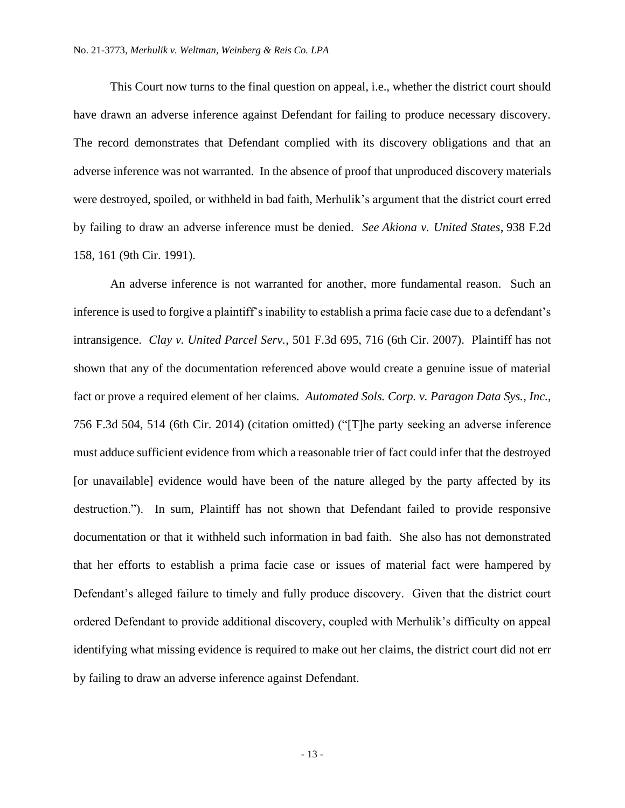This Court now turns to the final question on appeal, i.e., whether the district court should have drawn an adverse inference against Defendant for failing to produce necessary discovery. The record demonstrates that Defendant complied with its discovery obligations and that an adverse inference was not warranted. In the absence of proof that unproduced discovery materials were destroyed, spoiled, or withheld in bad faith, Merhulik's argument that the district court erred by failing to draw an adverse inference must be denied. *See Akiona v. United States*, 938 F.2d 158, 161 (9th Cir. 1991).

An adverse inference is not warranted for another, more fundamental reason. Such an inference is used to forgive a plaintiff's inability to establish a prima facie case due to a defendant's intransigence. *Clay v. United Parcel Serv.*, 501 F.3d 695, 716 (6th Cir. 2007). Plaintiff has not shown that any of the documentation referenced above would create a genuine issue of material fact or prove a required element of her claims. *Automated Sols. Corp. v. Paragon Data Sys.*, *Inc.*, 756 F.3d 504, 514 (6th Cir. 2014) (citation omitted) ("[T]he party seeking an adverse inference must adduce sufficient evidence from which a reasonable trier of fact could infer that the destroyed [or unavailable] evidence would have been of the nature alleged by the party affected by its destruction."). In sum, Plaintiff has not shown that Defendant failed to provide responsive documentation or that it withheld such information in bad faith. She also has not demonstrated that her efforts to establish a prima facie case or issues of material fact were hampered by Defendant's alleged failure to timely and fully produce discovery. Given that the district court ordered Defendant to provide additional discovery, coupled with Merhulik's difficulty on appeal identifying what missing evidence is required to make out her claims, the district court did not err by failing to draw an adverse inference against Defendant.